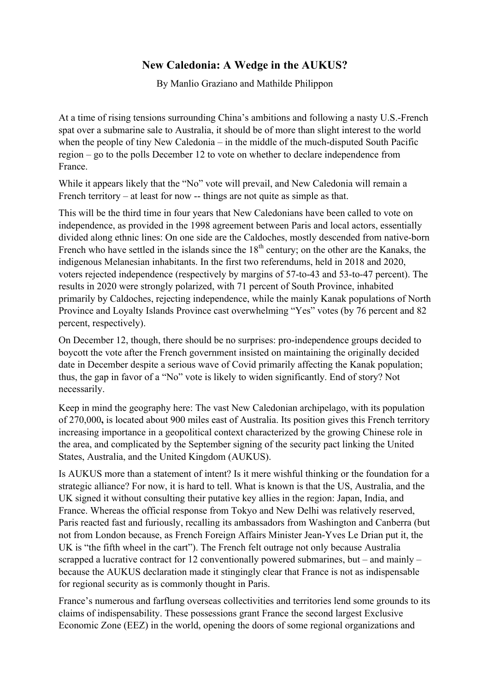## **New Caledonia: A Wedge in the AUKUS?**

By Manlio Graziano and Mathilde Philippon

At a time of rising tensions surrounding China's ambitions and following a nasty U.S.-French spat over a submarine sale to Australia, it should be of more than slight interest to the world when the people of tiny New Caledonia – in the middle of the much-disputed South Pacific region – go to the polls December 12 to vote on whether to declare independence from France.

While it appears likely that the "No" vote will prevail, and New Caledonia will remain a French territory – at least for now -- things are not quite as simple as that.

This will be the third time in four years that New Caledonians have been called to vote on independence, as provided in the 1998 agreement between Paris and local actors, essentially divided along ethnic lines: On one side are the Caldoches, mostly descended from native-born French who have settled in the islands since the  $18<sup>th</sup>$  century; on the other are the Kanaks, the indigenous Melanesian inhabitants. In the first two referendums, held in 2018 and 2020, voters rejected independence (respectively by margins of 57-to-43 and 53-to-47 percent). The results in 2020 were strongly polarized, with 71 percent of South Province, inhabited primarily by Caldoches, rejecting independence, while the mainly Kanak populations of North Province and Loyalty Islands Province cast overwhelming "Yes" votes (by 76 percent and 82 percent, respectively).

On December 12, though, there should be no surprises: pro-independence groups decided to boycott the vote after the French government insisted on maintaining the originally decided date in December despite a serious wave of Covid primarily affecting the Kanak population; thus, the gap in favor of a "No" vote is likely to widen significantly. End of story? Not necessarily.

Keep in mind the geography here: The vast New Caledonian archipelago, with its population of 270,000**,** is located about 900 miles east of Australia. Its position gives this French territory increasing importance in a geopolitical context characterized by the growing Chinese role in the area, and complicated by the September signing of the security pact linking the United States, Australia, and the United Kingdom (AUKUS).

Is AUKUS more than a statement of intent? Is it mere wishful thinking or the foundation for a strategic alliance? For now, it is hard to tell. What is known is that the US, Australia, and the UK signed it without consulting their putative key allies in the region: Japan, India, and France. Whereas the official response from Tokyo and New Delhi was relatively reserved, Paris reacted fast and furiously, recalling its ambassadors from Washington and Canberra (but not from London because, as French Foreign Affairs Minister Jean-Yves Le Drian put it, the UK is "the fifth wheel in the cart"). The French felt outrage not only because Australia scrapped a lucrative contract for 12 conventionally powered submarines, but – and mainly – because the AUKUS declaration made it stingingly clear that France is not as indispensable for regional security as is commonly thought in Paris.

France's numerous and farflung overseas collectivities and territories lend some grounds to its claims of indispensability. These possessions grant France the second largest Exclusive Economic Zone (EEZ) in the world, opening the doors of some regional organizations and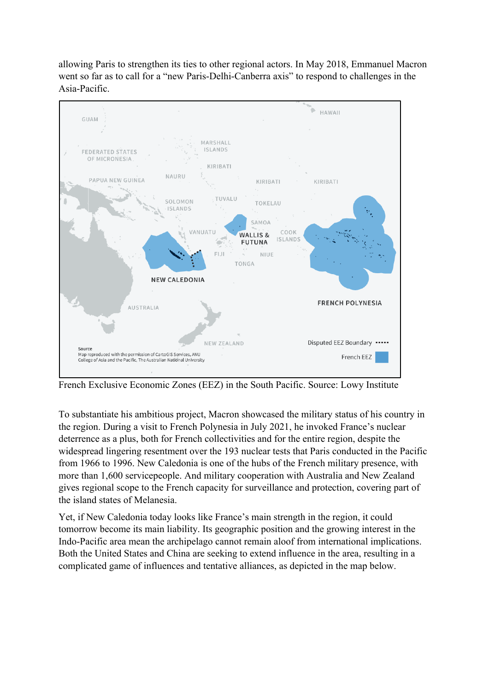allowing Paris to strengthen its ties to other regional actors. In May 2018, Emmanuel Macron went so far as to call for a "new Paris-Delhi-Canberra axis" to respond to challenges in the Asia-Pacific.



French Exclusive Economic Zones (EEZ) in the South Pacific. Source: Lowy Institute

To substantiate his ambitious project, Macron showcased the military status of his country in the region. During a visit to French Polynesia in July 2021, he invoked France's nuclear deterrence as a plus, both for French collectivities and for the entire region, despite the widespread lingering resentment over the 193 nuclear tests that Paris conducted in the Pacific from 1966 to 1996. New Caledonia is one of the hubs of the French military presence, with more than 1,600 servicepeople. And military cooperation with Australia and New Zealand gives regional scope to the French capacity for surveillance and protection, covering part of the island states of Melanesia.

Yet, if New Caledonia today looks like France's main strength in the region, it could tomorrow become its main liability. Its geographic position and the growing interest in the Indo-Pacific area mean the archipelago cannot remain aloof from international implications. Both the United States and China are seeking to extend influence in the area, resulting in a complicated game of influences and tentative alliances, as depicted in the map below.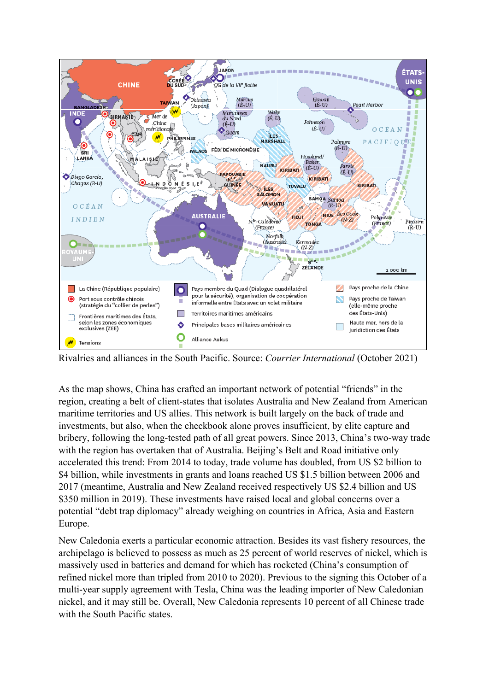

Rivalries and alliances in the South Pacific. Source: *Courrier International* (October 2021)

As the map shows, China has crafted an important network of potential "friends" in the region, creating a belt of client-states that isolates Australia and New Zealand from American maritime territories and US allies. This network is built largely on the back of trade and investments, but also, when the checkbook alone proves insufficient, by elite capture and bribery, following the long-tested path of all great powers. Since 2013, China's two-way trade with the region has overtaken that of Australia. Beijing's Belt and Road initiative only accelerated this trend: From 2014 to today, trade volume has doubled, from US \$2 billion to \$4 billion, while investments in grants and loans reached US \$1.5 billion between 2006 and 2017 (meantime, Australia and New Zealand received respectively US \$2.4 billion and US \$350 million in 2019). These investments have raised local and global concerns over a potential "debt trap diplomacy" already weighing on countries in Africa, Asia and Eastern Europe.

New Caledonia exerts a particular economic attraction. Besides its vast fishery resources, the archipelago is believed to possess as much as 25 percent of world reserves of nickel, which is massively used in batteries and demand for which has rocketed (China's consumption of refined nickel more than tripled from 2010 to 2020). Previous to the signing this October of a multi-year supply agreement with Tesla, China was the leading importer of New Caledonian nickel, and it may still be. Overall, New Caledonia represents 10 percent of all Chinese trade with the South Pacific states.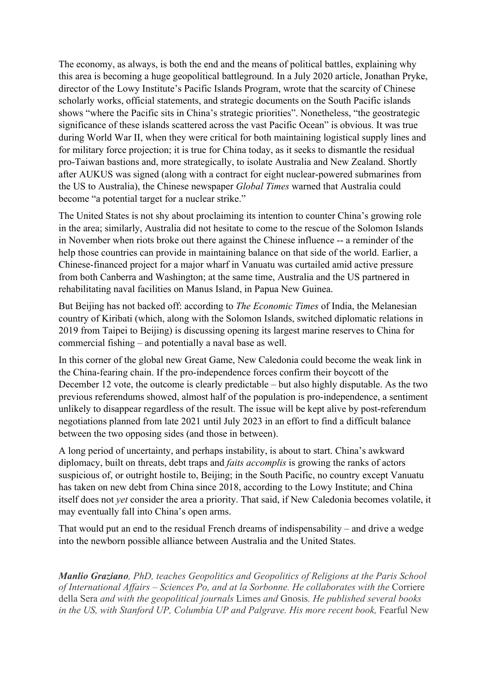The economy, as always, is both the end and the means of political battles, explaining why this area is becoming a huge geopolitical battleground. In a July 2020 article, Jonathan Pryke, director of the Lowy Institute's Pacific Islands Program, wrote that the scarcity of Chinese scholarly works, official statements, and strategic documents on the South Pacific islands shows "where the Pacific sits in China's strategic priorities". Nonetheless, "the geostrategic significance of these islands scattered across the vast Pacific Ocean" is obvious. It was true during World War II, when they were critical for both maintaining logistical supply lines and for military force projection; it is true for China today, as it seeks to dismantle the residual pro-Taiwan bastions and, more strategically, to isolate Australia and New Zealand. Shortly after AUKUS was signed (along with a contract for eight nuclear-powered submarines from the US to Australia), the Chinese newspaper *Global Times* warned that Australia could become "a potential target for a nuclear strike."

The United States is not shy about proclaiming its intention to counter China's growing role in the area; similarly, Australia did not hesitate to come to the rescue of the Solomon Islands in November when riots broke out there against the Chinese influence -- a reminder of the help those countries can provide in maintaining balance on that side of the world. Earlier, a Chinese-financed project for a major wharf in Vanuatu was curtailed amid active pressure from both Canberra and Washington; at the same time, Australia and the US partnered in rehabilitating naval facilities on Manus Island, in Papua New Guinea.

But Beijing has not backed off: according to *The Economic Times* of India, the Melanesian country of Kiribati (which, along with the Solomon Islands, switched diplomatic relations in 2019 from Taipei to Beijing) is discussing opening its largest marine reserves to China for commercial fishing – and potentially a naval base as well.

In this corner of the global new Great Game, New Caledonia could become the weak link in the China-fearing chain. If the pro-independence forces confirm their boycott of the December 12 vote, the outcome is clearly predictable – but also highly disputable. As the two previous referendums showed, almost half of the population is pro-independence, a sentiment unlikely to disappear regardless of the result. The issue will be kept alive by post-referendum negotiations planned from late 2021 until July 2023 in an effort to find a difficult balance between the two opposing sides (and those in between).

A long period of uncertainty, and perhaps instability, is about to start. China's awkward diplomacy, built on threats, debt traps and *faits accomplis* is growing the ranks of actors suspicious of, or outright hostile to, Beijing; in the South Pacific, no country except Vanuatu has taken on new debt from China since 2018, according to the Lowy Institute; and China itself does not *yet* consider the area a priority. That said, if New Caledonia becomes volatile, it may eventually fall into China's open arms.

That would put an end to the residual French dreams of indispensability – and drive a wedge into the newborn possible alliance between Australia and the United States.

*Manlio Graziano, PhD, teaches Geopolitics and Geopolitics of Religions at the Paris School of International Affairs – Sciences Po, and at la Sorbonne. He collaborates with the* Corriere della Sera *and with the geopolitical journals* Limes *and* Gnosis*. He published several books in the US, with Stanford UP, Columbia UP and Palgrave. His more recent book,* Fearful New